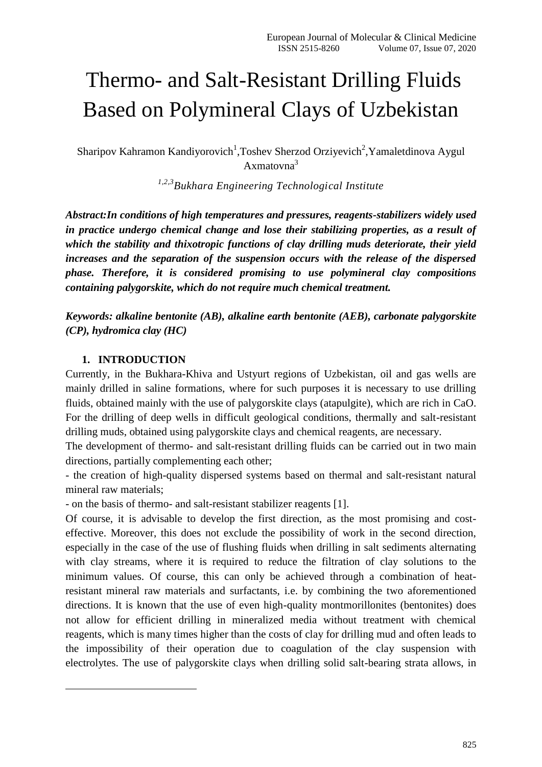# Thermo- and Salt-Resistant Drilling Fluids Based on Polymineral Clays of Uzbekistan

Sharipov Kahramon Kandiyorovich<sup>1</sup>, Toshev Sherzod Orziyevich<sup>2</sup>, Yamaletdinova Aygul Axmatovna<sup>3</sup>

*1,2,3Bukhara Engineering Technological Institute*

*Abstract:In conditions of high temperatures and pressures, reagents-stabilizers widely used in practice undergo chemical change and lose their stabilizing properties, as a result of which the stability and thixotropic functions of clay drilling muds deteriorate, their yield increases and the separation of the suspension occurs with the release of the dispersed phase. Therefore, it is considered promising to use polymineral clay compositions containing palygorskite, which do not require much chemical treatment.*

*Keywords: alkaline bentonite (AB), alkaline earth bentonite (AEB), carbonate palygorskite (CP), hydromica clay (HC)*

### **1. INTRODUCTION**

-

Currently, in the Bukhara-Khiva and Ustyurt regions of Uzbekistan, oil and gas wells are mainly drilled in saline formations, where for such purposes it is necessary to use drilling fluids, obtained mainly with the use of palygorskite clays (atapulgite), which are rich in CaO. For the drilling of deep wells in difficult geological conditions, thermally and salt-resistant drilling muds, obtained using palygorskite clays and chemical reagents, are necessary.

The development of thermo- and salt-resistant drilling fluids can be carried out in two main directions, partially complementing each other;

- the creation of high-quality dispersed systems based on thermal and salt-resistant natural mineral raw materials;

- on the basis of thermo- and salt-resistant stabilizer reagents [1].

Of course, it is advisable to develop the first direction, as the most promising and costeffective. Moreover, this does not exclude the possibility of work in the second direction, especially in the case of the use of flushing fluids when drilling in salt sediments alternating with clay streams, where it is required to reduce the filtration of clay solutions to the minimum values. Of course, this can only be achieved through a combination of heatresistant mineral raw materials and surfactants, i.e. by combining the two aforementioned directions. It is known that the use of even high-quality montmorillonites (bentonites) does not allow for efficient drilling in mineralized media without treatment with chemical reagents, which is many times higher than the costs of clay for drilling mud and often leads to the impossibility of their operation due to coagulation of the clay suspension with electrolytes. The use of palygorskite clays when drilling solid salt-bearing strata allows, in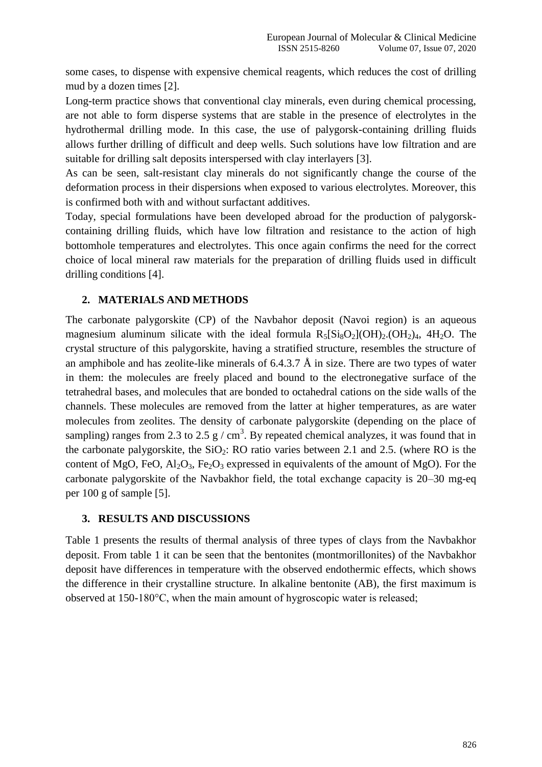some cases, to dispense with expensive chemical reagents, which reduces the cost of drilling mud by a dozen times [2].

Long-term practice shows that conventional clay minerals, even during chemical processing, are not able to form disperse systems that are stable in the presence of electrolytes in the hydrothermal drilling mode. In this case, the use of palygorsk-containing drilling fluids allows further drilling of difficult and deep wells. Such solutions have low filtration and are suitable for drilling salt deposits interspersed with clay interlayers [3].

As can be seen, salt-resistant clay minerals do not significantly change the course of the deformation process in their dispersions when exposed to various electrolytes. Moreover, this is confirmed both with and without surfactant additives.

Today, special formulations have been developed abroad for the production of palygorskcontaining drilling fluids, which have low filtration and resistance to the action of high bottomhole temperatures and electrolytes. This once again confirms the need for the correct choice of local mineral raw materials for the preparation of drilling fluids used in difficult drilling conditions [4].

## **2. MATERIALS AND METHODS**

The carbonate palygorskite (CP) of the Navbahor deposit (Navoi region) is an aqueous magnesium aluminum silicate with the ideal formula  $R_5[Si_8O_2](OH)_2$ . (OH<sub>2</sub>)<sub>4</sub>, 4H<sub>2</sub>O. The crystal structure of this palygorskite, having a stratified structure, resembles the structure of an amphibole and has zeolite-like minerals of  $6.4.3.7 \text{ Å}$  in size. There are two types of water in them: the molecules are freely placed and bound to the electronegative surface of the tetrahedral bases, and molecules that are bonded to octahedral cations on the side walls of the channels. These molecules are removed from the latter at higher temperatures, as are water molecules from zeolites. The density of carbonate palygorskite (depending on the place of sampling) ranges from 2.3 to 2.5  $g / cm<sup>3</sup>$ . By repeated chemical analyzes, it was found that in the carbonate palygorskite, the  $SiO_2$ : RO ratio varies between 2.1 and 2.5. (where RO is the content of MgO, FeO,  $A_2O_3$ , Fe<sub>2</sub>O<sub>3</sub> expressed in equivalents of the amount of MgO). For the carbonate palygorskite of the Navbakhor field, the total exchange capacity is 20–30 mg-eq per 100 g of sample [5].

#### **3. RESULTS AND DISCUSSIONS**

Table 1 presents the results of thermal analysis of three types of clays from the Navbakhor deposit. From table 1 it can be seen that the bentonites (montmorillonites) of the Navbakhor deposit have differences in temperature with the observed endothermic effects, which shows the difference in their crystalline structure. In alkaline bentonite (AB), the first maximum is observed at 150-180°С, when the main amount of hygroscopic water is released;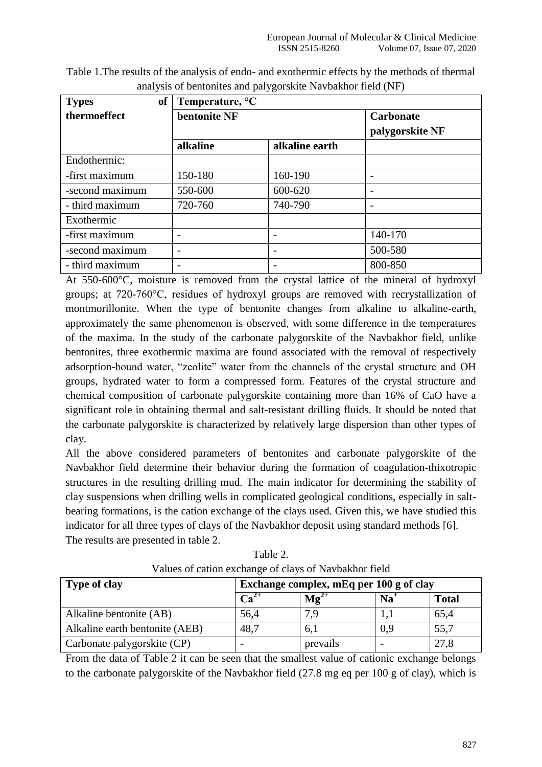| <sub>of</sub><br><b>Types</b> | Temperature, $\mathrm{C}$ |                |                                     |  |
|-------------------------------|---------------------------|----------------|-------------------------------------|--|
| thermoeffect                  | bentonite NF              |                | <b>Carbonate</b><br>palygorskite NF |  |
|                               | alkaline                  | alkaline earth |                                     |  |
| Endothermic:                  |                           |                |                                     |  |
| -first maximum                | 150-180                   | 160-190        |                                     |  |
| -second maximum               | 550-600                   | 600-620        |                                     |  |
| - third maximum               | 720-760                   | 740-790        |                                     |  |
| Exothermic                    |                           |                |                                     |  |
| -first maximum                |                           |                | 140-170                             |  |
| -second maximum               | ۰                         |                | 500-580                             |  |
| - third maximum               |                           |                | 800-850                             |  |

Table 1.The results of the analysis of endo- and exothermic effects by the methods of thermal analysis of bentonites and palygorskite Navbakhor field (NF)

At 550-600°C, moisture is removed from the crystal lattice of the mineral of hydroxyl groups; at 720-760°С, residues of hydroxyl groups are removed with recrystallization of montmorillonite. When the type of bentonite changes from alkaline to alkaline-earth, approximately the same phenomenon is observed, with some difference in the temperatures of the maxima. In the study of the carbonate palygorskite of the Navbakhor field, unlike bentonites, three exothermic maxima are found associated with the removal of respectively adsorption-bound water, "zeolite" water from the channels of the crystal structure and OH groups, hydrated water to form a compressed form. Features of the crystal structure and chemical composition of carbonate palygorskite containing more than 16% of CaO have a significant role in obtaining thermal and salt-resistant drilling fluids. It should be noted that the carbonate palygorskite is characterized by relatively large dispersion than other types of clay.

All the above considered parameters of bentonites and carbonate palygorskite of the Navbakhor field determine their behavior during the formation of coagulation-thixotropic structures in the resulting drilling mud. The main indicator for determining the stability of clay suspensions when drilling wells in complicated geological conditions, especially in saltbearing formations, is the cation exchange of the clays used. Given this, we have studied this indicator for all three types of clays of the Navbakhor deposit using standard methods [6]. The results are presented in table 2.

| <b>Type of clay</b>            | Exchange complex, mEq per 100 g of clay |                    |       |              |  |
|--------------------------------|-----------------------------------------|--------------------|-------|--------------|--|
|                                | $\mathbf{Ca}^{2+}$                      | $\mathbf{Mg}^{2+}$ | $Na+$ | <b>Total</b> |  |
| Alkaline bentonite (AB)        | 56,4                                    | 7,9                |       | 65,4         |  |
| Alkaline earth bentonite (AEB) | 48,7                                    | 6,1                | 0.9   | 55,7         |  |
| Carbonate palygorskite (CP)    |                                         | prevails           |       | 27,8         |  |

Table 2. Values of cation exchange of clays of Navbakhor field

From the data of Table 2 it can be seen that the smallest value of cationic exchange belongs to the carbonate palygorskite of the Navbakhor field (27.8 mg eq per 100 g of clay), which is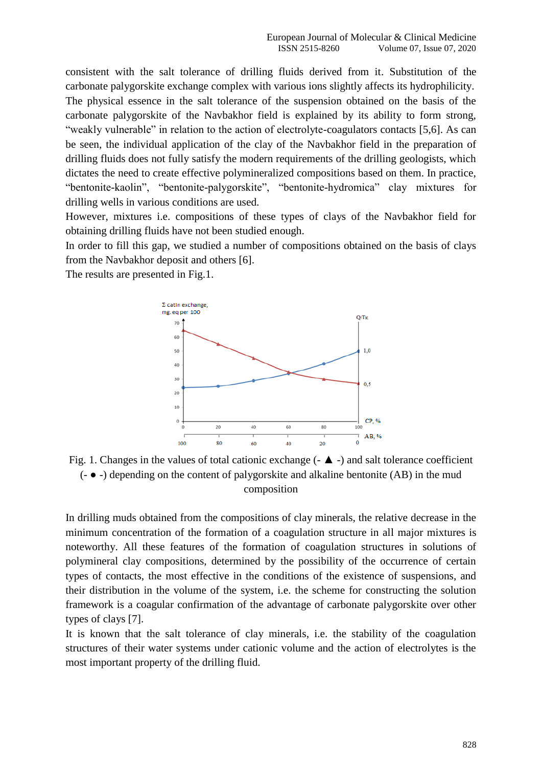consistent with the salt tolerance of drilling fluids derived from it. Substitution of the carbonate palygorskite exchange complex with various ions slightly affects its hydrophilicity. The physical essence in the salt tolerance of the suspension obtained on the basis of the carbonate palygorskite of the Navbakhor field is explained by its ability to form strong, "weakly vulnerable" in relation to the action of electrolyte-coagulators contacts [5,6]. As can be seen, the individual application of the clay of the Navbakhor field in the preparation of drilling fluids does not fully satisfy the modern requirements of the drilling geologists, which dictates the need to create effective polymineralized compositions based on them. In practice, "bentonite-kaolin", "bentonite-palygorskite", "bentonite-hydromica" clay mixtures for drilling wells in various conditions are used.

However, mixtures i.e. compositions of these types of clays of the Navbakhor field for obtaining drilling fluids have not been studied enough.

In order to fill this gap, we studied a number of compositions obtained on the basis of clays from the Navbakhor deposit and others [6].

The results are presented in Fig.1.



Fig. 1. Changes in the values of total cationic exchange  $(- \triangle -)$  and salt tolerance coefficient (- ● -) depending on the content of palygorskite and alkaline bentonite (AB) in the mud composition

In drilling muds obtained from the compositions of clay minerals, the relative decrease in the minimum concentration of the formation of a coagulation structure in all major mixtures is noteworthy. All these features of the formation of coagulation structures in solutions of polymineral clay compositions, determined by the possibility of the occurrence of certain types of contacts, the most effective in the conditions of the existence of suspensions, and their distribution in the volume of the system, i.e. the scheme for constructing the solution framework is a coagular confirmation of the advantage of carbonate palygorskite over other types of clays [7].

It is known that the salt tolerance of clay minerals, i.e. the stability of the coagulation structures of their water systems under cationic volume and the action of electrolytes is the most important property of the drilling fluid.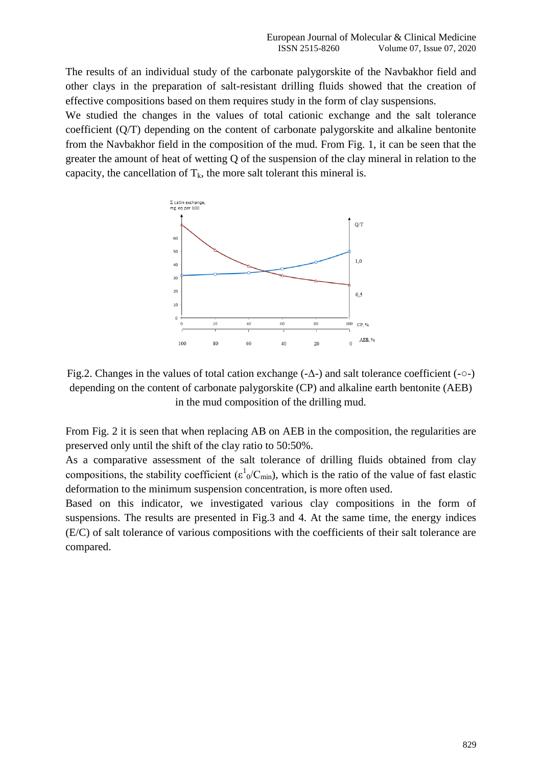The results of an individual study of the carbonate palygorskite of the Navbakhor field and other clays in the preparation of salt-resistant drilling fluids showed that the creation of effective compositions based on them requires study in the form of clay suspensions.

We studied the changes in the values of total cationic exchange and the salt tolerance coefficient (Q/T) depending on the content of carbonate palygorskite and alkaline bentonite from the Navbakhor field in the composition of the mud. From Fig. 1, it can be seen that the greater the amount of heat of wetting Q of the suspension of the clay mineral in relation to the capacity, the cancellation of  $T_k$ , the more salt tolerant this mineral is.



Fig.2. Changes in the values of total cation exchange (-Δ-) and salt tolerance coefficient (-○-) depending on the content of carbonate palygorskite (CP) and alkaline earth bentonite (AEB) in the mud composition of the drilling mud.

From Fig. 2 it is seen that when replacing AB on AEB in the composition, the regularities are preserved only until the shift of the clay ratio to 50:50%.

As a comparative assessment of the salt tolerance of drilling fluids obtained from clay compositions, the stability coefficient ( $\epsilon^1{}_0/C_{min}$ ), which is the ratio of the value of fast elastic deformation to the minimum suspension concentration, is more often used.

Based on this indicator, we investigated various clay compositions in the form of suspensions. The results are presented in Fig.3 and 4. At the same time, the energy indices (E/C) of salt tolerance of various compositions with the coefficients of their salt tolerance are compared.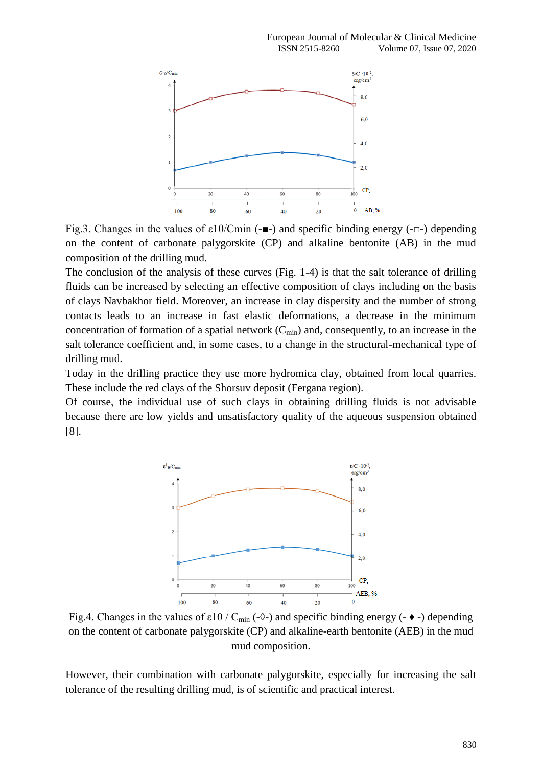

Fig.3. Changes in the values of ε10/Сmin (-■-) and specific binding energy (-□-) depending on the content of carbonate palygorskite (CP) and alkaline bentonite (AB) in the mud composition of the drilling mud.

The conclusion of the analysis of these curves (Fig. 1-4) is that the salt tolerance of drilling fluids can be increased by selecting an effective composition of clays including on the basis of clays Navbakhor field. Moreover, an increase in clay dispersity and the number of strong contacts leads to an increase in fast elastic deformations, a decrease in the minimum concentration of formation of a spatial network  $(C_{min})$  and, consequently, to an increase in the salt tolerance coefficient and, in some cases, to a change in the structural-mechanical type of drilling mud.

Today in the drilling practice they use more hydromica clay, obtained from local quarries. These include the red clays of the Shorsuv deposit (Fergana region).

Of course, the individual use of such clays in obtaining drilling fluids is not advisable because there are low yields and unsatisfactory quality of the aqueous suspension obtained [8].



Fig.4. Changes in the values of  $\varepsilon$ 10 / C<sub>min</sub> (- $\Diamond$ -) and specific binding energy (- $\bullet$ -) depending on the content of carbonate palygorskite (CP) and alkaline-earth bentonite (AEB) in the mud mud composition.

However, their combination with carbonate palygorskite, especially for increasing the salt tolerance of the resulting drilling mud, is of scientific and practical interest.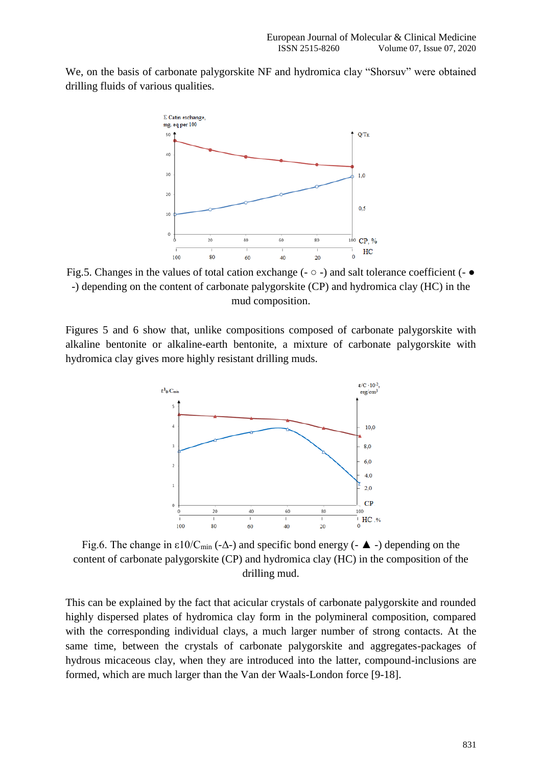We, on the basis of carbonate palygorskite NF and hydromica clay "Shorsuv" were obtained drilling fluids of various qualities.



Fig.5. Changes in the values of total cation exchange ( $\sim$   $\circ$  -) and salt tolerance coefficient ( $\sim$   $\bullet$ -) depending on the content of carbonate palygorskite (CP) and hydromica clay (HC) in the mud composition.

Figures 5 and 6 show that, unlike compositions composed of carbonate palygorskite with alkaline bentonite or alkaline-earth bentonite, a mixture of carbonate palygorskite with hydromica clay gives more highly resistant drilling muds.



Fig.6. The change in  $\varepsilon$ 10/C<sub>min</sub> (- $\Delta$ -) and specific bond energy (- $\blacktriangle$ -) depending on the content of carbonate palygorskite (CP) and hydromica clay (HC) in the composition of the drilling mud.

This can be explained by the fact that acicular crystals of carbonate palygorskite and rounded highly dispersed plates of hydromica clay form in the polymineral composition, compared with the corresponding individual clays, a much larger number of strong contacts. At the same time, between the crystals of carbonate palygorskite and aggregates-packages of hydrous micaceous clay, when they are introduced into the latter, compound-inclusions are formed, which are much larger than the Van der Waals-London force [9-18].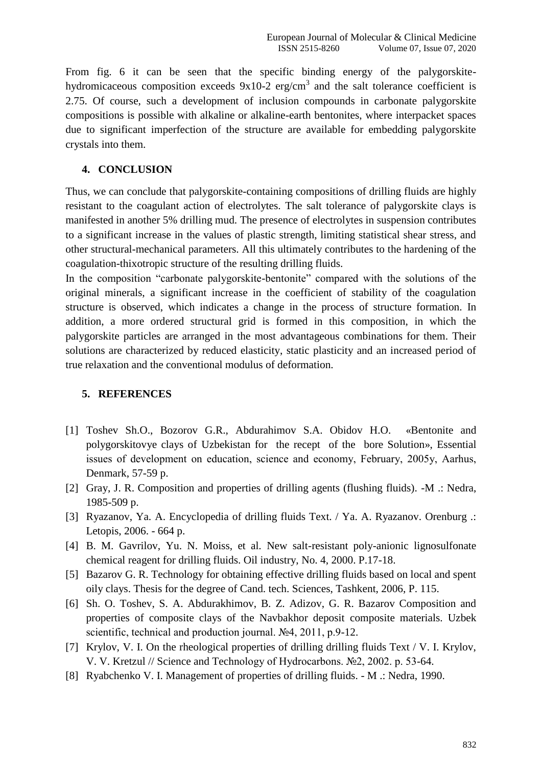From fig. 6 it can be seen that the specific binding energy of the palygorskitehydromicaceous composition exceeds  $9x10-2$  erg/cm<sup>3</sup> and the salt tolerance coefficient is 2.75. Of course, such a development of inclusion compounds in carbonate palygorskite compositions is possible with alkaline or alkaline-earth bentonites, where interpacket spaces due to significant imperfection of the structure are available for embedding palygorskite crystals into them.

## **4. CONCLUSION**

Thus, we can conclude that palygorskite-containing compositions of drilling fluids are highly resistant to the coagulant action of electrolytes. The salt tolerance of palygorskite clays is manifested in another 5% drilling mud. The presence of electrolytes in suspension contributes to a significant increase in the values of plastic strength, limiting statistical shear stress, and other structural-mechanical parameters. All this ultimately contributes to the hardening of the coagulation-thixotropic structure of the resulting drilling fluids.

In the composition "carbonate palygorskite-bentonite" compared with the solutions of the original minerals, a significant increase in the coefficient of stability of the coagulation structure is observed, which indicates a change in the process of structure formation. In addition, a more ordered structural grid is formed in this composition, in which the palygorskite particles are arranged in the most advantageous combinations for them. Their solutions are characterized by reduced elasticity, static plasticity and an increased period of true relaxation and the conventional modulus of deformation.

## **5. REFERENCES**

- [1] Toshev Sh.O., Bozorov G.R., Abdurahimov S.A. Obidov H.O. «Bentonite and polygorskitovye clays of Uzbekistan for the recept of the bore Solution», Essential issues of development on education, science and economy, February, 2005y, Aаrhus, Denmark, 57-59 p.
- [2] Gray, J. R. Composition and properties of drilling agents (flushing fluids). -M .: Nedra, 1985-509 p.
- [3] Ryazanov, Ya. A. Encyclopedia of drilling fluids Text. / Ya. A. Ryazanov. Orenburg .: Letopis, 2006. - 664 p.
- [4] B. M. Gavrilov, Yu. N. Moiss, et al. New salt-resistant poly-anionic lignosulfonate chemical reagent for drilling fluids. Oil industry, No. 4, 2000. P.17-18.
- [5] Bazarov G. R. Technology for obtaining effective drilling fluids based on local and spent oily clays. Thesis for the degree of Cand. tech. Sciences, Tashkent, 2006, P. 115.
- [6] Sh. O. Toshev, S. A. Abdurakhimov, B. Z. Adizov, G. R. Bazarov Composition and properties of composite clays of the Navbakhor deposit composite materials. Uzbek scientific, technical and production journal. №4, 2011, p.9-12.
- [7] Krylov, V. I. On the rheological properties of drilling drilling fluids Text / V. I. Krylov, V. V. Kretzul // Science and Technology of Hydrocarbons. №2, 2002. p. 53-64.
- [8] Ryabchenko V. I. Management of properties of drilling fluids. M .: Nedra, 1990.